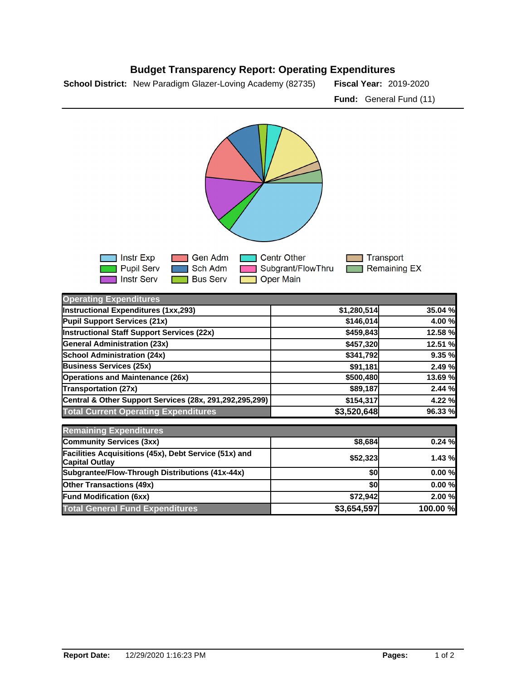## **Budget Transparency Report: Operating Expenditures**

**School District:** New Paradigm Glazer-Loving Academy (82735) Fiscal Year: 2019-2020

**Fund:** General Fund (11)



| <b>Operating Expenditures</b>                                                  |             |          |
|--------------------------------------------------------------------------------|-------------|----------|
| Instructional Expenditures (1xx,293)                                           | \$1,280,514 | 35.04 %  |
| Pupil Support Services (21x)                                                   | \$146,014   | 4.00 %   |
| <b>Instructional Staff Support Services (22x)</b>                              | \$459,843   | 12.58 %  |
| <b>General Administration (23x)</b>                                            | \$457,320   | 12.51 %  |
| <b>School Administration (24x)</b>                                             | \$341,792   | 9.35 %   |
| <b>Business Services (25x)</b>                                                 | \$91,181    | 2.49 %   |
| <b>Operations and Maintenance (26x)</b>                                        | \$500,480   | 13.69 %  |
| <b>Transportation (27x)</b>                                                    | \$89,187    | 2.44 %   |
| Central & Other Support Services (28x, 291,292,295,299)                        | \$154,317   | 4.22 %   |
| <b>Total Current Operating Expenditures</b>                                    | \$3,520,648 | 96.33 %  |
| <b>Remaining Expenditures</b>                                                  |             |          |
| Community Services (3xx)                                                       | \$8,684     | 0.24%    |
| Facilities Acquisitions (45x), Debt Service (51x) and<br><b>Capital Outlay</b> | \$52,323    | 1.43 %   |
| Subgrantee/Flow-Through Distributions (41x-44x)                                | \$0         | 0.00%    |
| <b>Other Transactions (49x)</b>                                                | \$0         | 0.00%    |
| <b>Fund Modification (6xx)</b>                                                 | \$72,942    | 2.00%    |
| <b>Total General Fund Expenditures</b>                                         | \$3,654,597 | 100.00 % |